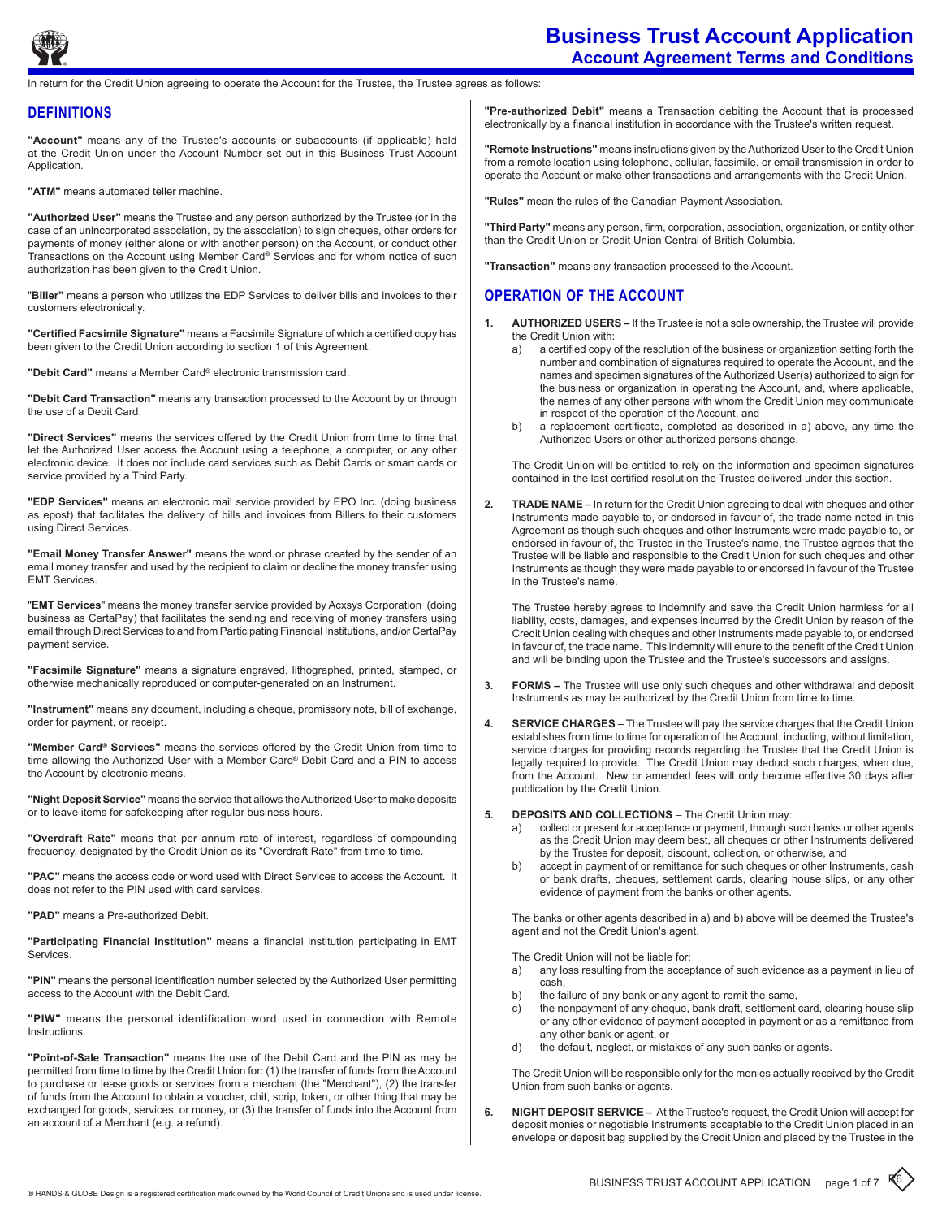

# **Business Trust Account Application Account Agreement Terms and Conditions**

return for the Credit Union agreeing to operate the Account for the Trustee, the Trustee agrees as follows:

### **DEFINITIONS**

**"Account"** means any of the Trustee's accounts or subaccounts (if applicable) held at the Credit Union under the Account Number set out in this Business Trust Account Application.

**"ATM"** means automated teller machine.

**"Authorized User"** means the Trustee and any person authorized by the Trustee (or in the case of an unincorporated association, by the association) to sign cheques, other orders for payments of money (either alone or with another person) on the Account, or conduct other Transactions on the Account using Member Card**®** Services and for whom notice of such authorization has been given to the Credit Union.

"**Biller"** means a person who utilizes the EDP Services to deliver bills and invoices to their customers electronically.

**"Certified Facsimile Signature"** means a Facsimile Signature of which a certified copy has been given to the Credit Union according to section 1 of this Agreement.

**"Debit Card"** means a Member Card® electronic transmission card.

**"Debit Card Transaction"** means any transaction processed to the Account by or through the use of a Debit Card.

**"Direct Services"** means the services offered by the Credit Union from time to time that let the Authorized User access the Account using a telephone, a computer, or any other electronic device. It does not include card services such as Debit Cards or smart cards or service provided by a Third Party.

**"EDP Services"** means an electronic mail service provided by EPO Inc. (doing business as epost) that facilitates the delivery of bills and invoices from Billers to their customers using Direct Services.

**"Email Money Transfer Answer"** means the word or phrase created by the sender of an email money transfer and used by the recipient to claim or decline the money transfer using EMT Services.

"**EMT Services**" means the money transfer service provided by Acxsys Corporation (doing business as CertaPay) that facilitates the sending and receiving of money transfers using email through Direct Services to and from Participating Financial Institutions, and/or CertaPay payment service.

**"Facsimile Signature"** means a signature engraved, lithographed, printed, stamped, or otherwise mechanically reproduced or computer-generated on an Instrument.

**"Instrument"** means any document, including a cheque, promissory note, bill of exchange, order for payment, or receipt.

**"Member Card® Services"** means the services offered by the Credit Union from time to time allowing the Authorized User with a Member Card**®** Debit Card and a PIN to access the Account by electronic means.

**"Night Deposit Service"** means the service that allows theAuthorized User to make deposits or to leave items for safekeeping after regular business hours.

**"Overdraft Rate"** means that per annum rate of interest, regardless of compounding frequency, designated by the Credit Union as its "Overdraft Rate" from time to time.

**"PAC"** means the access code or word used with Direct Services to access the Account. It does not refer to the PIN used with card services.

**"PAD"** means a Pre-authorized Debit.

**"Participating Financial Institution"** means a financial institution participating in EMT Services.

**"PIN"** means the personal identification number selected by the Authorized User permitting access to the Account with the Debit Card.

**"PIW"** means the personal identification word used in connection with Remote Instructions.

**"Point-of-Sale Transaction"** means the use of the Debit Card and the PIN as may be permitted from time to time by the Credit Union for: (1) the transfer of funds from the Account to purchase or lease goods or services from a merchant (the "Merchant"), (2) the transfer of funds from the Account to obtain a voucher, chit, scrip, token, or other thing that may be exchanged for goods, services, or money, or (3) the transfer of funds into the Account from an account of a Merchant (e.g. a refund).

**"Pre-authorized Debit"** means a Transaction debiting the Account that is processed electronically by a financial institution in accordance with the Trustee's written request.

**"Remote Instructions"** means instructions given by theAuthorized User to the Credit Union from a remote location using telephone, cellular, facsimile, or email transmission in order to operate the Account or make other transactions and arrangements with the Credit Union.

**"Rules"** mean the rules of the Canadian Payment Association.

**"Third Party"** means any person, firm, corporation, association, organization, or entity other than the Credit Union or Credit Union Central of British Columbia.

**"Transaction"** means any transaction processed to the Account.

# **Operation of the account**

- **1. Authorized Users** If the Trustee is not a sole ownership, the Trustee will provide the Credit Union with:
	- a) a certified copy of the resolution of the business or organization setting forth the number and combination of signatures required to operate the Account, and the names and specimen signatures of theAuthorized User(s) authorized to sign for the business or organization in operating the Account, and, where applicable, the names of any other persons with whom the Credit Union may communicate in respect of the operation of the Account, and
	- b) a replacement certificate, completed as described in a) above, any time the Authorized Users or other authorized persons change.

The Credit Union will be entitled to rely on the information and specimen signatures contained in the last certified resolution the Trustee delivered under this section.

**2. Trade Name –** In return for the Credit Union agreeing to deal with cheques and other Instruments made payable to, or endorsed in favour of, the trade name noted in this Agreement as though such cheques and other Instruments were made payable to, or endorsed in favour of, the Trustee in the Trustee's name, the Trustee agrees that the Trustee will be liable and responsible to the Credit Union for such cheques and other Instruments as though they were made payable to or endorsed in favour of the Trustee in the Trustee's name.

The Trustee hereby agrees to indemnify and save the Credit Union harmless for all liability, costs, damages, and expenses incurred by the Credit Union by reason of the Credit Union dealing with cheques and other Instruments made payable to, or endorsed in favour of, the trade name. This indemnity will enure to the benefit of the Credit Union and will be binding upon the Trustee and the Trustee's successors and assigns.

- **3. Forms** The Trustee will use only such cheques and other withdrawal and deposit Instruments as may be authorized by the Credit Union from time to time.
- **4. Service Charges** The Trustee will pay the service charges that the Credit Union establishes from time to time for operation of the Account, including, without limitation, service charges for providing records regarding the Trustee that the Credit Union is legally required to provide. The Credit Union may deduct such charges, when due, from the Account. New or amended fees will only become effective 30 days after publication by the Credit Union.
- **5. Deposits and Collections** The Credit Union may:
	- collect or present for acceptance or payment, through such banks or other agents as the Credit Union may deem best, all cheques or other Instruments delivered by the Trustee for deposit, discount, collection, or otherwise, and
	- b) accept in payment of or remittance for such cheques or other Instruments, cash or bank drafts, cheques, settlement cards, clearing house slips, or any other evidence of payment from the banks or other agents.

The banks or other agents described in a) and b) above will be deemed the Trustee's agent and not the Credit Union's agent.

The Credit Union will not be liable for:

- a) any loss resulting from the acceptance of such evidence as a payment in lieu of cash,
- b) the failure of any bank or any agent to remit the same,
- c) the nonpayment of any cheque, bank draft, settlement card, clearing house slip or any other evidence of payment accepted in payment or as a remittance from any other bank or agent, or
- d) the default, neglect, or mistakes of any such banks or agents.

The Credit Union will be responsible only for the monies actually received by the Credit Union from such banks or agents.

**6. Night Deposit Service –** At the Trustee's request, the Credit Union will accept for deposit monies or negotiable Instruments acceptable to the Credit Union placed in an envelope or deposit bag supplied by the Credit Union and placed by the Trustee in the

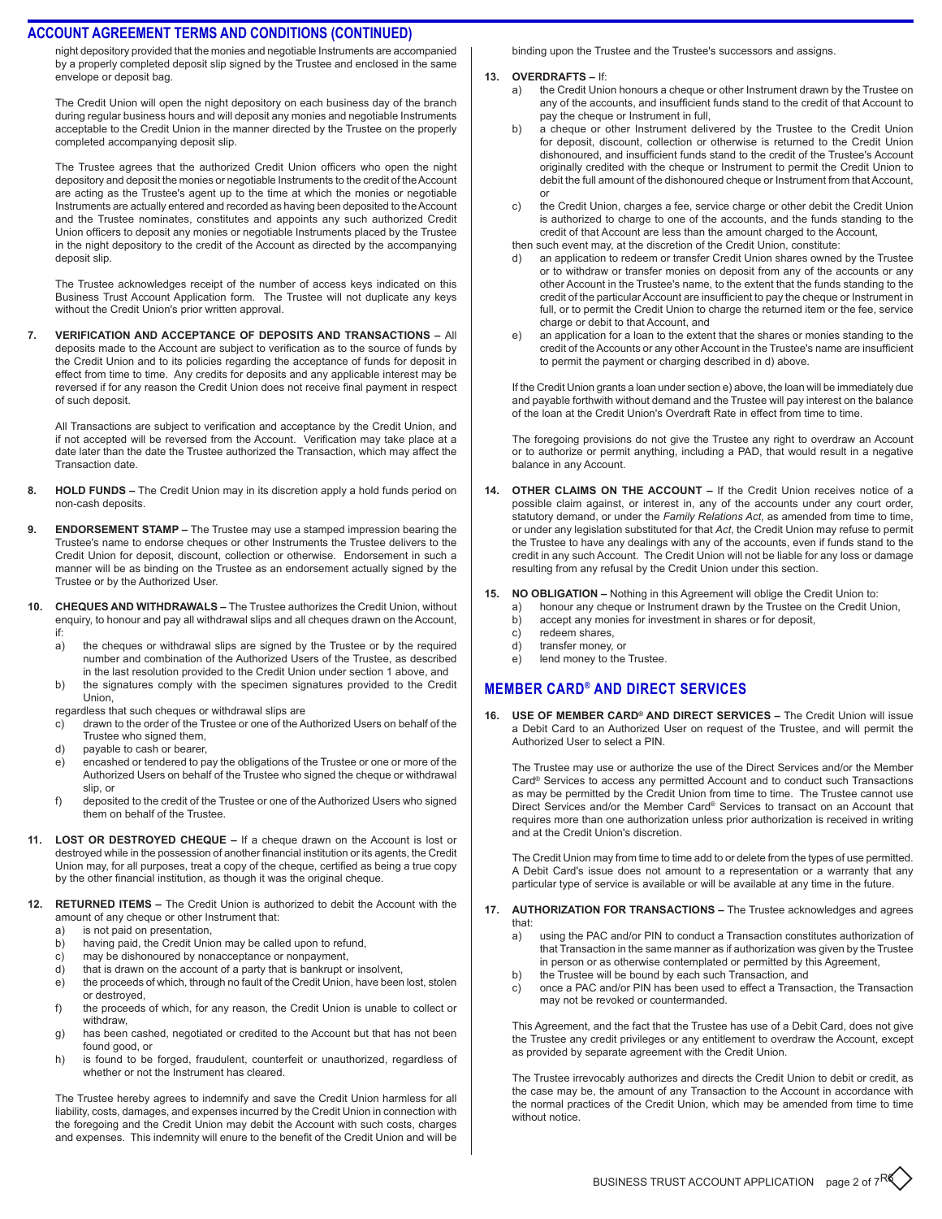#### **ACCOUNT AGREEMENT Terms and conditions (CONTinued)**

night depository provided that the monies and negotiable Instruments are accompanied by a properly completed deposit slip signed by the Trustee and enclosed in the same envelope or deposit bag.

The Credit Union will open the night depository on each business day of the branch during regular business hours and will deposit any monies and negotiable Instruments acceptable to the Credit Union in the manner directed by the Trustee on the properly completed accompanying deposit slip.

The Trustee agrees that the authorized Credit Union officers who open the night depository and deposit the monies or negotiable Instruments to the credit of the Account are acting as the Trustee's agent up to the time at which the monies or negotiable Instruments are actually entered and recorded as having been deposited to the Account and the Trustee nominates, constitutes and appoints any such authorized Credit Union officers to deposit any monies or negotiable Instruments placed by the Trustee in the night depository to the credit of the Account as directed by the accompanying deposit slip.

The Trustee acknowledges receipt of the number of access keys indicated on this Business Trust Account Application form. The Trustee will not duplicate any keys without the Credit Union's prior written approval.

**7. Verification and Acceptance of Deposits and Transactions –** All deposits made to the Account are subject to verification as to the source of funds by the Credit Union and to its policies regarding the acceptance of funds for deposit in effect from time to time. Any credits for deposits and any applicable interest may be reversed if for any reason the Credit Union does not receive final payment in respect of such deposit.

All Transactions are subject to verification and acceptance by the Credit Union, and if not accepted will be reversed from the Account. Verification may take place at a date later than the date the Trustee authorized the Transaction, which may affect the Transaction date.

- 8. HOLD FUNDS The Credit Union may in its discretion apply a hold funds period on non-cash deposits.
- **9. ENDORSEMENT STAMP –** The Trustee may use a stamped impression bearing the Trustee's name to endorse cheques or other Instruments the Trustee delivers to the Credit Union for deposit, discount, collection or otherwise. Endorsement in such a manner will be as binding on the Trustee as an endorsement actually signed by the Trustee or by the Authorized User.
- **10. Cheques and Withdrawals** The Trustee authorizes the Credit Union, without enquiry, to honour and pay all withdrawal slips and all cheques drawn on the Account, if:
	- a) the cheques or withdrawal slips are signed by the Trustee or by the required number and combination of the Authorized Users of the Trustee, as described in the last resolution provided to the Credit Union under section 1 above, and
	- b) the signatures comply with the specimen signatures provided to the Credit Union,
	- regardless that such cheques or withdrawal slips are
	- c) drawn to the order of the Trustee or one of the Authorized Users on behalf of the Trustee who signed them,
	- d) payable to cash or bearer,
	- e) encashed or tendered to pay the obligations of the Trustee or one or more of the Authorized Users on behalf of the Trustee who signed the cheque or withdrawal slip, or
	- f) deposited to the credit of the Trustee or one of the Authorized Users who signed them on behalf of the Trustee.
- **11. Lost or Destroyed Cheque** If a cheque drawn on the Account is lost or destroyed while in the possession of another financial institution or its agents, the Credit Union may, for all purposes, treat a copy of the cheque, certified as being a true copy by the other financial institution, as though it was the original cheque.
- **12. RETURNED ITEMS The Credit Union is authorized to debit the Account with the** amount of any cheque or other Instrument that:
	- a) is not paid on presentation,
	- b) having paid, the Credit Union may be called upon to refund,
	- c) may be dishonoured by nonacceptance or nonpayment,<br>d) that is drawn on the account of a party that is bankrupt of
	- that is drawn on the account of a party that is bankrupt or insolvent,
	- e) the proceeds of which, through no fault of the Credit Union, have been lost, stolen or destroyed, f) the proceeds of which, for any reason, the Credit Union is unable to collect or
	- withdraw, g) has been cashed, negotiated or credited to the Account but that has not been
	- found good, or
	- h) is found to be forged, fraudulent, counterfeit or unauthorized, regardless of whether or not the Instrument has cleared.

The Trustee hereby agrees to indemnify and save the Credit Union harmless for all liability, costs, damages, and expenses incurred by the Credit Union in connection with the foregoing and the Credit Union may debit the Account with such costs, charges and expenses. This indemnity will enure to the benefit of the Credit Union and will be

binding upon the Trustee and the Trustee's successors and assigns.

- **13. Overdrafts** If:
	- a) the Credit Union honours a cheque or other Instrument drawn by the Trustee on any of the accounts, and insufficient funds stand to the credit of that Account to pay the cheque or Instrument in full,
	- b) a cheque or other Instrument delivered by the Trustee to the Credit Union for deposit, discount, collection or otherwise is returned to the Credit Union dishonoured, and insufficient funds stand to the credit of the Trustee's Account originally credited with the cheque or Instrument to permit the Credit Union to debit the full amount of the dishonoured cheque or Instrument from that Account, or
	- c) the Credit Union, charges a fee, service charge or other debit the Credit Union is authorized to charge to one of the accounts, and the funds standing to the credit of that Account are less than the amount charged to the Account, then such event may, at the discretion of the Credit Union, constitute:
	- d) an application to redeem or transfer Credit Union shares owned by the Trustee or to withdraw or transfer monies on deposit from any of the accounts or any other Account in the Trustee's name, to the extent that the funds standing to the credit of the particular Account are insufficient to pay the cheque or Instrument in full, or to permit the Credit Union to charge the returned item or the fee, service
	- charge or debit to that Account, and e) an application for a loan to the extent that the shares or monies standing to the credit of the Accounts or any other Account in the Trustee's name are insufficient to permit the payment or charging described in d) above.

If the Credit Union grants a loan under section e) above, the loan will be immediately due and payable forthwith without demand and the Trustee will pay interest on the balance of the loan at the Credit Union's Overdraft Rate in effect from time to time.

The foregoing provisions do not give the Trustee any right to overdraw an Account or to authorize or permit anything, including a PAD, that would result in a negative balance in any Account.

- **14. Other Claims on the Account** If the Credit Union receives notice of a possible claim against, or interest in, any of the accounts under any court order, statutory demand, or under the *Family Relations Act*, as amended from time to time, or under any legislation substituted for that *Act*, the Credit Union may refuse to permit the Trustee to have any dealings with any of the accounts, even if funds stand to the credit in any such Account. The Credit Union will not be liable for any loss or damage resulting from any refusal by the Credit Union under this section.
- **15. No Obligation** Nothing in this Agreement will oblige the Credit Union to:
	- a) honour any cheque or Instrument drawn by the Trustee on the Credit Union,
	- b) accept any monies for investment in shares or for deposit,
	- c) redeem shares,<br>d) transfer money.
	- d) transfer money, or<br>e) lend money to the
	- lend money to the Trustee.

# **MEMBER Card® and direct services**

**16. Use of Member Card® and Direct Services –** The Credit Union will issue a Debit Card to an Authorized User on request of the Trustee, and will permit the Authorized User to select a PIN.

The Trustee may use or authorize the use of the Direct Services and/or the Member Card® Services to access any permitted Account and to conduct such Transactions as may be permitted by the Credit Union from time to time. The Trustee cannot use Direct Services and/or the Member Card® Services to transact on an Account that requires more than one authorization unless prior authorization is received in writing and at the Credit Union's discretion.

The Credit Union may from time to time add to or delete from the types of use permitted. A Debit Card's issue does not amount to a representation or a warranty that any particular type of service is available or will be available at any time in the future.

- **17. Authorization for Transactions** The Trustee acknowledges and agrees that:
	- a) using the PAC and/or PIN to conduct a Transaction constitutes authorization of that Transaction in the same manner as if authorization was given by the Trustee in person or as otherwise contemplated or permitted by this Agreement,
	- b) the Trustee will be bound by each such Transaction, and
	- c) once a PAC and/or PIN has been used to effect a Transaction, the Transaction may not be revoked or countermanded.

This Agreement, and the fact that the Trustee has use of a Debit Card, does not give the Trustee any credit privileges or any entitlement to overdraw the Account, except as provided by separate agreement with the Credit Union.

The Trustee irrevocably authorizes and directs the Credit Union to debit or credit, as the case may be, the amount of any Transaction to the Account in accordance with the normal practices of the Credit Union, which may be amended from time to time without notice.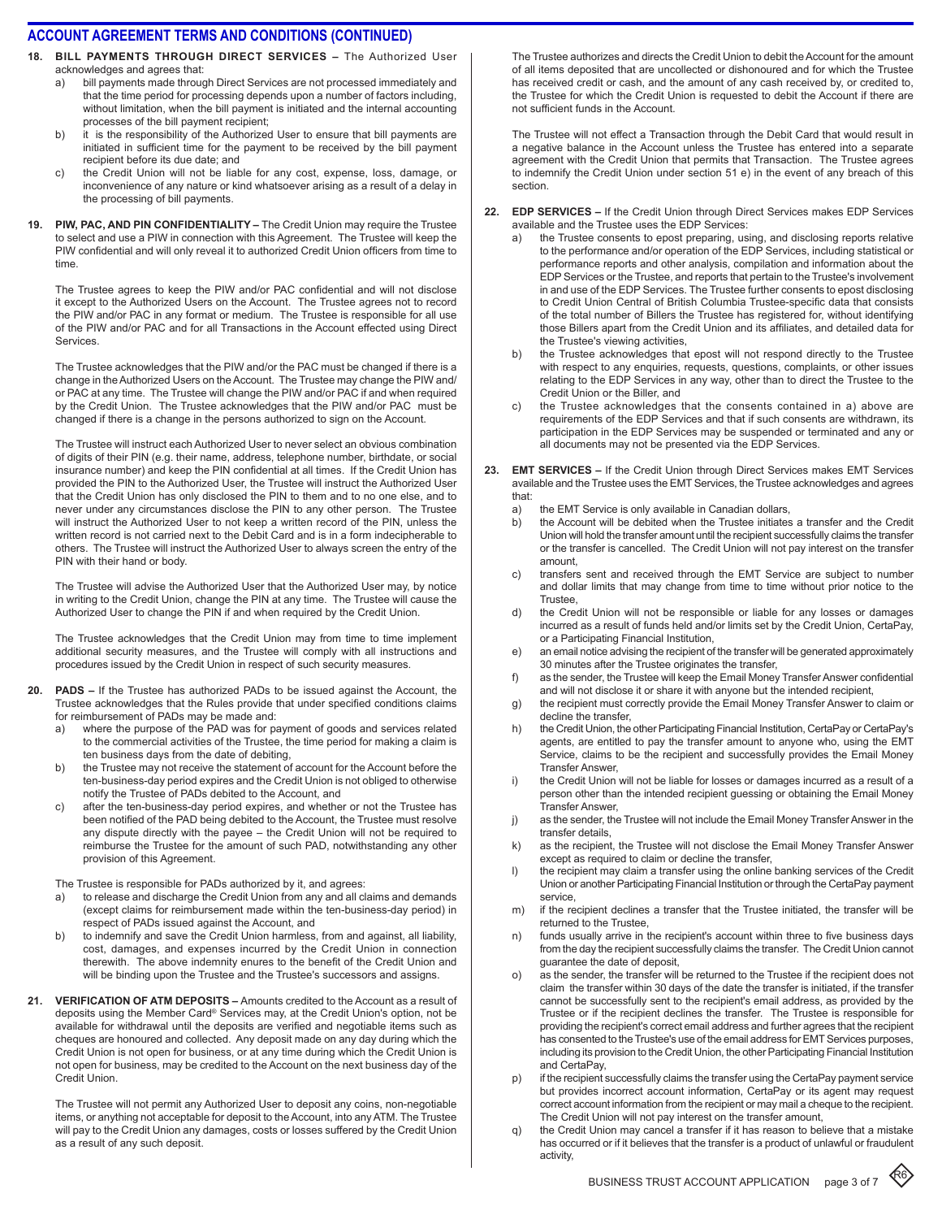- **18. Bill Payments through Direct Services** The Authorized User acknowledges and agrees that:
	- a) bill payments made through Direct Services are not processed immediately and that the time period for processing depends upon a number of factors including, without limitation, when the bill payment is initiated and the internal accounting processes of the bill payment recipient;
	- b) it is the responsibility of the Authorized User to ensure that bill payments are initiated in sufficient time for the payment to be received by the bill payment recipient before its due date; and
	- c) the Credit Union will not be liable for any cost, expense, loss, damage, or inconvenience of any nature or kind whatsoever arising as a result of a delay in the processing of bill payments.
- **19. PIW, PAC, and PIN Confidentiality** The Credit Union may require the Trustee to select and use a PIW in connection with this Agreement. The Trustee will keep the PIW confidential and will only reveal it to authorized Credit Union officers from time to time.

The Trustee agrees to keep the PIW and/or PAC confidential and will not disclose it except to the Authorized Users on the Account. The Trustee agrees not to record the PIW and/or PAC in any format or medium. The Trustee is responsible for all use of the PIW and/or PAC and for all Transactions in the Account effected using Direct Services.

The Trustee acknowledges that the PIW and/or the PAC must be changed if there is a change in the Authorized Users on the Account. The Trustee may change the PIW and/ or PAC at any time. The Trustee will change the PIW and/or PAC if and when required by the Credit Union. The Trustee acknowledges that the PIW and/or PAC must be changed if there is a change in the persons authorized to sign on the Account.

The Trustee will instruct each Authorized User to never select an obvious combination of digits of their PIN (e.g. their name, address, telephone number, birthdate, or social insurance number) and keep the PIN confidential at all times. If the Credit Union has provided the PIN to the Authorized User, the Trustee will instruct the Authorized User that the Credit Union has only disclosed the PIN to them and to no one else, and to never under any circumstances disclose the PIN to any other person. The Trustee will instruct the Authorized User to not keep a written record of the PIN, unless the written record is not carried next to the Debit Card and is in a form indecipherable to others. The Trustee will instruct the Authorized User to always screen the entry of the PIN with their hand or body.

The Trustee will advise the Authorized User that the Authorized User may, by notice in writing to the Credit Union, change the PIN at any time. The Trustee will cause the Authorized User to change the PIN if and when required by the Credit Union.

The Trustee acknowledges that the Credit Union may from time to time implement additional security measures, and the Trustee will comply with all instructions and procedures issued by the Credit Union in respect of such security measures.

- **20. PADs** If the Trustee has authorized PADs to be issued against the Account, the Trustee acknowledges that the Rules provide that under specified conditions claims for reimbursement of PADs may be made and:
	- a) where the purpose of the PAD was for payment of goods and services related to the commercial activities of the Trustee, the time period for making a claim is ten business days from the date of debiting,
	- b) the Trustee may not receive the statement of account for the Account before the ten-business-day period expires and the Credit Union is not obliged to otherwise notify the Trustee of PADs debited to the Account, and
	- c) after the ten-business-day period expires, and whether or not the Trustee has been notified of the PAD being debited to the Account, the Trustee must resolve any dispute directly with the payee – the Credit Union will not be required to reimburse the Trustee for the amount of such PAD, notwithstanding any other provision of this Agreement.

The Trustee is responsible for PADs authorized by it, and agrees:

- a) to release and discharge the Credit Union from any and all claims and demands (except claims for reimbursement made within the ten-business-day period) in respect of PADs issued against the Account, and
- b) to indemnify and save the Credit Union harmless, from and against, all liability, cost, damages, and expenses incurred by the Credit Union in connection therewith. The above indemnity enures to the benefit of the Credit Union and will be binding upon the Trustee and the Trustee's successors and assigns.
- **21. Verification of ATM Deposits** Amounts credited to the Account as a result of deposits using the Member Card® Services may, at the Credit Union's option, not be available for withdrawal until the deposits are verified and negotiable items such as cheques are honoured and collected. Any deposit made on any day during which the Credit Union is not open for business, or at any time during which the Credit Union is not open for business, may be credited to the Account on the next business day of the Credit Union.

The Trustee will not permit any Authorized User to deposit any coins, non-negotiable items, or anything not acceptable for deposit to the Account, into any ATM. The Trustee will pay to the Credit Union any damages, costs or losses suffered by the Credit Union as a result of any such deposit.

The Trustee authorizes and directs the Credit Union to debit the Account for the amount of all items deposited that are uncollected or dishonoured and for which the Trustee has received credit or cash, and the amount of any cash received by, or credited to, the Trustee for which the Credit Union is requested to debit the Account if there are not sufficient funds in the Account.

The Trustee will not effect a Transaction through the Debit Card that would result in a negative balance in the Account unless the Trustee has entered into a separate agreement with the Credit Union that permits that Transaction. The Trustee agrees to indemnify the Credit Union under section 51 e) in the event of any breach of this section.

- **22. EDP Services** If the Credit Union through Direct Services makes EDP Services available and the Trustee uses the EDP Services:
	- a) the Trustee consents to epost preparing, using, and disclosing reports relative to the performance and/or operation of the EDP Services, including statistical or performance reports and other analysis, compilation and information about the EDP Services or the Trustee, and reports that pertain to the Trustee's involvement in and use of the EDP Services. The Trustee further consents to epost disclosing to Credit Union Central of British Columbia Trustee-specific data that consists of the total number of Billers the Trustee has registered for, without identifying those Billers apart from the Credit Union and its affiliates, and detailed data for the Trustee's viewing activities,
	- b) the Trustee acknowledges that epost will not respond directly to the Trustee with respect to any enquiries, requests, questions, complaints, or other issues relating to the EDP Services in any way, other than to direct the Trustee to the Credit Union or the Biller, and
	- c) the Trustee acknowledges that the consents contained in a) above are requirements of the EDP Services and that if such consents are withdrawn, its participation in the EDP Services may be suspended or terminated and any or all documents may not be presented via the EDP Services.
- **23. EMT Services** If the Credit Union through Direct Services makes EMT Services available and the Trustee uses the EMT Services, the Trustee acknowledges and agrees that:
	- a) the EMT Service is only available in Canadian dollars,
	- b) the Account will be debited when the Trustee initiates a transfer and the Credit Union will hold the transfer amount until the recipient successfully claims the transfer or the transfer is cancelled. The Credit Union will not pay interest on the transfer amount,
	- c) transfers sent and received through the EMT Service are subject to number and dollar limits that may change from time to time without prior notice to the Trustee,
	- d) the Credit Union will not be responsible or liable for any losses or damages incurred as a result of funds held and/or limits set by the Credit Union, CertaPay, or a Participating Financial Institution,
	- e) an email notice advising the recipient of the transfer will be generated approximately 30 minutes after the Trustee originates the transfer,
	- f) as the sender, the Trustee will keep the Email Money Transfer Answer confidential and will not disclose it or share it with anyone but the intended recipient,
	- g) the recipient must correctly provide the Email Money Transfer Answer to claim or decline the transfer
	- h) the Credit Union, the other Participating Financial Institution, CertaPay or CertaPay's agents, are entitled to pay the transfer amount to anyone who, using the EMT Service, claims to be the recipient and successfully provides the Email Money Transfer Answer,
	- i) the Credit Union will not be liable for losses or damages incurred as a result of a person other than the intended recipient guessing or obtaining the Email Money Transfer Answer,
	- j) as the sender, the Trustee will not include the Email Money Transfer Answer in the transfer details,
	- k) as the recipient, the Trustee will not disclose the Email Money Transfer Answer except as required to claim or decline the transfer,
	- l) the recipient may claim a transfer using the online banking services of the Credit Union or another Participating Financial Institution or through the CertaPay payment service,
	- m) if the recipient declines a transfer that the Trustee initiated, the transfer will be returned to the Trustee,
	- n) funds usually arrive in the recipient's account within three to five business days from the day the recipient successfully claims the transfer. The Credit Union cannot guarantee the date of deposit,
	- o) as the sender, the transfer will be returned to the Trustee if the recipient does not claim the transfer within 30 days of the date the transfer is initiated, if the transfer cannot be successfully sent to the recipient's email address, as provided by the Trustee or if the recipient declines the transfer. The Trustee is responsible for providing the recipient's correct email address and further agrees that the recipient has consented to the Trustee's use of the email address for EMT Services purposes, including its provision to the Credit Union, the other Participating Financial Institution and CertaPay,
	- p) if the recipient successfully claims the transfer using the CertaPay payment service but provides incorrect account information, CertaPay or its agent may request correct account information from the recipient or may mail a cheque to the recipient. The Credit Union will not pay interest on the transfer amount,
	- q) the Credit Union may cancel a transfer if it has reason to believe that a mistake has occurred or if it believes that the transfer is a product of unlawful or fraudulent activity,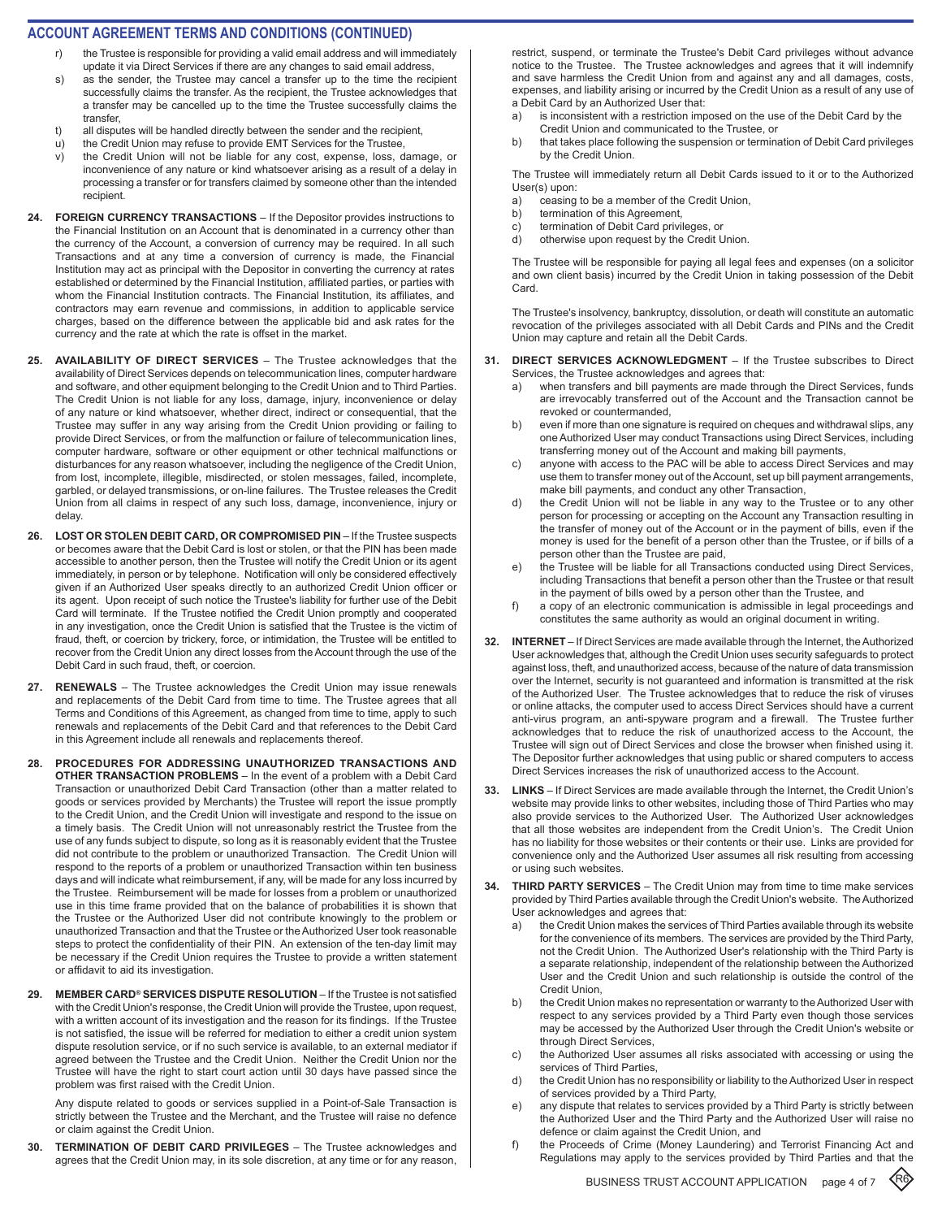#### **ACCOUNT AGREEMENT TERMS AND CONDITIONS (CONTINUED)**

- the Trustee is responsible for providing a valid email address and will immediately update it via Direct Services if there are any changes to said email address,
- s) as the sender, the Trustee may cancel a transfer up to the time the recipient successfully claims the transfer. As the recipient, the Trustee acknowledges that a transfer may be cancelled up to the time the Trustee successfully claims the transfer,
- t) all disputes will be handled directly between the sender and the recipient,
- u) the Credit Union may refuse to provide EMT Services for the Trustee,
- v) the Credit Union will not be liable for any cost, expense, loss, damage, or inconvenience of any nature or kind whatsoever arising as a result of a delay in processing a transfer or for transfers claimed by someone other than the intended recipient.
- **24. FOREIGN CURRENCY TRANSACTIONS**  If the Depositor provides instructions to the Financial Institution on an Account that is denominated in a currency other than the currency of the Account, a conversion of currency may be required. In all such Transactions and at any time a conversion of currency is made, the Financial Institution may act as principal with the Depositor in converting the currency at rates established or determined by the Financial Institution, affiliated parties, or parties with whom the Financial Institution contracts. The Financial Institution, its affiliates, and contractors may earn revenue and commissions, in addition to applicable service charges, based on the difference between the applicable bid and ask rates for the currency and the rate at which the rate is offset in the market.
- **25. AVAILABILITY OF DIRECT SERVICES**  The Trustee acknowledges that the availability of Direct Services depends on telecommunication lines, computer hardware and software, and other equipment belonging to the Credit Union and to Third Parties. The Credit Union is not liable for any loss, damage, injury, inconvenience or delay of any nature or kind whatsoever, whether direct, indirect or consequential, that the Trustee may suffer in any way arising from the Credit Union providing or failing to provide Direct Services, or from the malfunction or failure of telecommunication lines, computer hardware, software or other equipment or other technical malfunctions or disturbances for any reason whatsoever, including the negligence of the Credit Union, from lost, incomplete, illegible, misdirected, or stolen messages, failed, incomplete, garbled, or delayed transmissions, or on-line failures. The Trustee releases the Credit Union from all claims in respect of any such loss, damage, inconvenience, injury or delay.
- 26. LOST OR STOLEN DEBIT CARD, OR COMPROMISED PIN If the Trustee suspects or becomes aware that the Debit Card is lost or stolen, or that the PIN has been made accessible to another person, then the Trustee will notify the Credit Union or its agent immediately, in person or by telephone. Notification will only be considered effectively given if an Authorized User speaks directly to an authorized Credit Union officer or its agent. Upon receipt of such notice the Trustee's liability for further use of the Debit Card will terminate. If the Trustee notified the Credit Union promptly and cooperated in any investigation, once the Credit Union is satisfied that the Trustee is the victim of fraud, theft, or coercion by trickery, force, or intimidation, the Trustee will be entitled to recover from the Credit Union any direct losses from the Account through the use of the Debit Card in such fraud, theft, or coercion.
- **27. RENEWALS**  The Trustee acknowledges the Credit Union may issue renewals and replacements of the Debit Card from time to time. The Trustee agrees that all Terms and Conditions of this Agreement, as changed from time to time, apply to such renewals and replacements of the Debit Card and that references to the Debit Card in this Agreement include all renewals and replacements thereof.
- **28. PROCEDURES FOR ADDRESSING UNAUTHORIZED TRANSACTIONS AND OTHER TRANSACTION PROBLEMS** – In the event of a problem with a Debit Card Transaction or unauthorized Debit Card Transaction (other than a matter related to goods or services provided by Merchants) the Trustee will report the issue promptly to the Credit Union, and the Credit Union will investigate and respond to the issue on a timely basis. The Credit Union will not unreasonably restrict the Trustee from the use of any funds subject to dispute, so long as it is reasonably evident that the Trustee did not contribute to the problem or unauthorized Transaction. The Credit Union will respond to the reports of a problem or unauthorized Transaction within ten business days and will indicate what reimbursement, if any, will be made for any loss incurred by the Trustee. Reimbursement will be made for losses from a problem or unauthorized use in this time frame provided that on the balance of probabilities it is shown that the Trustee or the Authorized User did not contribute knowingly to the problem or unauthorized Transaction and that the Trustee or the Authorized User took reasonable steps to protect the confidentiality of their PIN. An extension of the ten-day limit may be necessary if the Credit Union requires the Trustee to provide a written statement or affidavit to aid its investigation.
- 29. MEMBER CARD<sup>®</sup> SERVICES DISPUTE RESOLUTION If the Trustee is not satisfied with the Credit Union's response, the Credit Union will provide the Trustee, upon request, with a written account of its investigation and the reason for its findings. If the Trustee is not satisfied, the issue will be referred for mediation to either a credit union system dispute resolution service, or if no such service is available, to an external mediator if agreed between the Trustee and the Credit Union. Neither the Credit Union nor the Trustee will have the right to start court action until 30 days have passed since the problem was first raised with the Credit Union.

Any dispute related to goods or services supplied in a Point-of-Sale Transaction is strictly between the Trustee and the Merchant, and the Trustee will raise no defence or claim against the Credit Union.

**30. TERMINATION OF DEBIT CARD PRIVILEGES** – The Trustee acknowledges and agrees that the Credit Union may, in its sole discretion, at any time or for any reason,

restrict, suspend, or terminate the Trustee's Debit Card privileges without advance notice to the Trustee. The Trustee acknowledges and agrees that it will indemnify and save harmless the Credit Union from and against any and all damages, costs, expenses, and liability arising or incurred by the Credit Union as a result of any use of a Debit Card by an Authorized User that:

- a) is inconsistent with a restriction imposed on the use of the Debit Card by the Credit Union and communicated to the Trustee, or
- b) that takes place following the suspension or termination of Debit Card privileges by the Credit Union.

The Trustee will immediately return all Debit Cards issued to it or to the Authorized User(s) upon:

- a) ceasing to be a member of the Credit Union,
- b) termination of this Agreement,
- c) termination of Debit Card privileges, or
- d) otherwise upon request by the Credit Union.

The Trustee will be responsible for paying all legal fees and expenses (on a solicitor and own client basis) incurred by the Credit Union in taking possession of the Debit Card.

The Trustee's insolvency, bankruptcy, dissolution, or death will constitute an automatic revocation of the privileges associated with all Debit Cards and PINs and the Credit Union may capture and retain all the Debit Cards.

- **31. DIRECT SERVICES ACKNOWLEDGMENT**  If the Trustee subscribes to Direct Services, the Trustee acknowledges and agrees that:
	- a) when transfers and bill payments are made through the Direct Services, funds are irrevocably transferred out of the Account and the Transaction cannot be revoked or countermanded,
	- b) even if more than one signature is required on cheques and withdrawal slips, any one Authorized User may conduct Transactions using Direct Services, including transferring money out of the Account and making bill payments,
	- c) anyone with access to the PAC will be able to access Direct Services and may use them to transfer money out of the Account, set up bill payment arrangements, make bill payments, and conduct any other Transaction,
	- d) the Credit Union will not be liable in any way to the Trustee or to any other person for processing or accepting on the Account any Transaction resulting in the transfer of money out of the Account or in the payment of bills, even if the money is used for the benefit of a person other than the Trustee, or if bills of a person other than the Trustee are paid,
	- the Trustee will be liable for all Transactions conducted using Direct Services, including Transactions that benefit a person other than the Trustee or that result in the payment of bills owed by a person other than the Trustee, and
	- f) a copy of an electronic communication is admissible in legal proceedings and constitutes the same authority as would an original document in writing.
- **32. INTERNET** If Direct Services are made available through the Internet, the Authorized User acknowledges that, although the Credit Union uses security safeguards to protect against loss, theft, and unauthorized access, because of the nature of data transmission over the Internet, security is not guaranteed and information is transmitted at the risk of the Authorized User. The Trustee acknowledges that to reduce the risk of viruses or online attacks, the computer used to access Direct Services should have a current anti-virus program, an anti-spyware program and a firewall. The Trustee further acknowledges that to reduce the risk of unauthorized access to the Account, the Trustee will sign out of Direct Services and close the browser when finished using it. The Depositor further acknowledges that using public or shared computers to access Direct Services increases the risk of unauthorized access to the Account.
- **33. LINKS** If Direct Services are made available through the Internet, the Credit Union's website may provide links to other websites, including those of Third Parties who may also provide services to the Authorized User. The Authorized User acknowledges that all those websites are independent from the Credit Union's. The Credit Union has no liability for those websites or their contents or their use. Links are provided for convenience only and the Authorized User assumes all risk resulting from accessing or using such websites.
- **34. THIRD PARTY SERVICES**  The Credit Union may from time to time make services provided by Third Parties available through the Credit Union's website. The Authorized User acknowledges and agrees that:
	- the Credit Union makes the services of Third Parties available through its website for the convenience of its members. The services are provided by the Third Party, not the Credit Union. The Authorized User's relationship with the Third Party is a separate relationship, independent of the relationship between the Authorized User and the Credit Union and such relationship is outside the control of the Credit Union,
	- b) the Credit Union makes no representation or warranty to the Authorized User with respect to any services provided by a Third Party even though those services may be accessed by the Authorized User through the Credit Union's website or through Direct Services,
	- c) the Authorized User assumes all risks associated with accessing or using the services of Third Parties,
	- d) the Credit Union has no responsibility or liability to the Authorized User in respect of services provided by a Third Party,
	- e) any dispute that relates to services provided by a Third Party is strictly between the Authorized User and the Third Party and the Authorized User will raise no defence or claim against the Credit Union, and
	- f) the Proceeds of Crime (Money Laundering) and Terrorist Financing Act and Regulations may apply to the services provided by Third Parties and that the

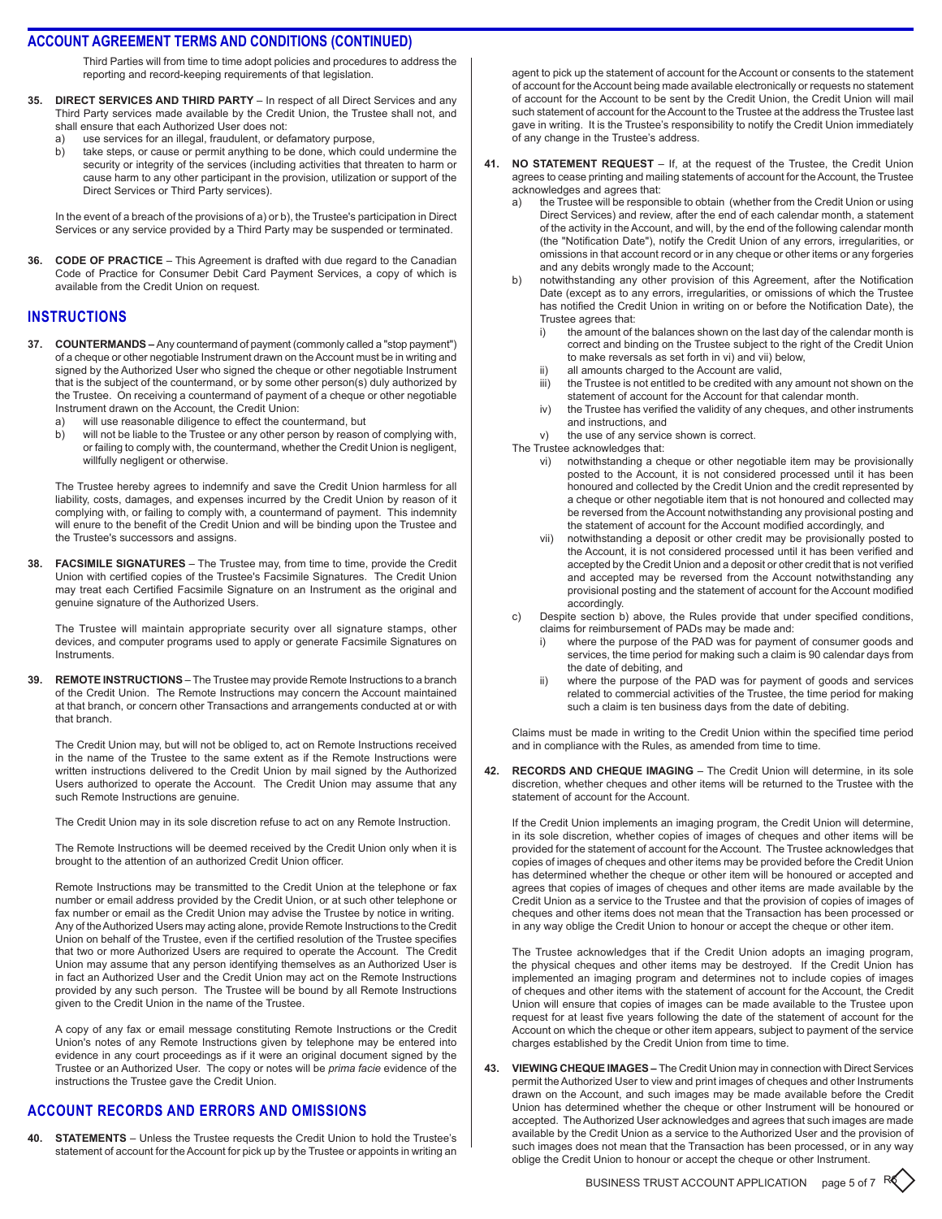Third Parties will from time to time adopt policies and procedures to address the reporting and record-keeping requirements of that legislation.

- **35. Direct Services and Third Party**  In respect of all Direct Services and any Third Party services made available by the Credit Union, the Trustee shall not, and shall ensure that each Authorized User does not:
	- a) use services for an illegal, fraudulent, or defamatory purpose,
	- b) take steps, or cause or permit anything to be done, which could undermine the security or integrity of the services (including activities that threaten to harm or cause harm to any other participant in the provision, utilization or support of the Direct Services or Third Party services).

In the event of a breach of the provisions of a) or b), the Trustee's participation in Direct Services or any service provided by a Third Party may be suspended or terminated.

**36. Code of Practice** – This Agreement is drafted with due regard to the Canadian Code of Practice for Consumer Debit Card Payment Services, a copy of which is available from the Credit Union on request.

### **instructions**

- **37. Countermands** Any countermand of payment (commonly called a "stop payment") of a cheque or other negotiable Instrument drawn on the Account must be in writing and signed by the Authorized User who signed the cheque or other negotiable Instrument that is the subject of the countermand, or by some other person(s) duly authorized by the Trustee. On receiving a countermand of payment of a cheque or other negotiable Instrument drawn on the Account, the Credit Union:
	- a) will use reasonable diligence to effect the countermand, but
	- b) will not be liable to the Trustee or any other person by reason of complying with, or failing to comply with, the countermand, whether the Credit Union is negligent, willfully negligent or otherwise.

The Trustee hereby agrees to indemnify and save the Credit Union harmless for all liability, costs, damages, and expenses incurred by the Credit Union by reason of it complying with, or failing to comply with, a countermand of payment. This indemnity will enure to the benefit of the Credit Union and will be binding upon the Trustee and the Trustee's successors and assigns.

**38. Facsimile Signatures** – The Trustee may, from time to time, provide the Credit Union with certified copies of the Trustee's Facsimile Signatures. The Credit Union may treat each Certified Facsimile Signature on an Instrument as the original and genuine signature of the Authorized Users.

The Trustee will maintain appropriate security over all signature stamps, other devices, and computer programs used to apply or generate Facsimile Signatures on Instruments.

**39. Remote Instructions** – The Trustee may provide Remote Instructions to a branch of the Credit Union. The Remote Instructions may concern the Account maintained at that branch, or concern other Transactions and arrangements conducted at or with that branch.

The Credit Union may, but will not be obliged to, act on Remote Instructions received in the name of the Trustee to the same extent as if the Remote Instructions were written instructions delivered to the Credit Union by mail signed by the Authorized Users authorized to operate the Account. The Credit Union may assume that any such Remote Instructions are genuine.

The Credit Union may in its sole discretion refuse to act on any Remote Instruction.

The Remote Instructions will be deemed received by the Credit Union only when it is brought to the attention of an authorized Credit Union officer.

Remote Instructions may be transmitted to the Credit Union at the telephone or fax number or email address provided by the Credit Union, or at such other telephone or fax number or email as the Credit Union may advise the Trustee by notice in writing. Any of the Authorized Users may acting alone, provide Remote Instructions to the Credit Union on behalf of the Trustee, even if the certified resolution of the Trustee specifies that two or more Authorized Users are required to operate the Account. The Credit Union may assume that any person identifying themselves as an Authorized User is in fact an Authorized User and the Credit Union may act on the Remote Instructions provided by any such person. The Trustee will be bound by all Remote Instructions given to the Credit Union in the name of the Trustee.

A copy of any fax or email message constituting Remote Instructions or the Credit Union's notes of any Remote Instructions given by telephone may be entered into evidence in any court proceedings as if it were an original document signed by the Trustee or an Authorized User. The copy or notes will be *prima facie* evidence of the instructions the Trustee gave the Credit Union.

#### **account records and errors and omissions**

**40. Statements** – Unless the Trustee requests the Credit Union to hold the Trustee's statement of account for the Account for pick up by the Trustee or appoints in writing an agent to pick up the statement of account for the Account or consents to the statement of account for the Account being made available electronically or requests no statement of account for the Account to be sent by the Credit Union, the Credit Union will mail such statement of account for the Account to the Trustee at the address the Trustee last gave in writing. It is the Trustee's responsibility to notify the Credit Union immediately of any change in the Trustee's address.

- **41. No Statement Request** If, at the request of the Trustee, the Credit Union agrees to cease printing and mailing statements of account for the Account, the Trustee acknowledges and agrees that:
	- a) the Trustee will be responsible to obtain (whether from the Credit Union or using Direct Services) and review, after the end of each calendar month, a statement of the activity in the Account, and will, by the end of the following calendar month (the "Notification Date"), notify the Credit Union of any errors, irregularities, or omissions in that account record or in any cheque or other items or any forgeries and any debits wrongly made to the Account;
	- b) notwithstanding any other provision of this Agreement, after the Notification Date (except as to any errors, irregularities, or omissions of which the Trustee has notified the Credit Union in writing on or before the Notification Date), the Trustee agrees that:
		- i) the amount of the balances shown on the last day of the calendar month is correct and binding on the Trustee subject to the right of the Credit Union to make reversals as set forth in vi) and vii) below,
		- ii) all amounts charged to the Account are valid,<br>iii) the Trustee is not entitled to be credited with a
		- the Trustee is not entitled to be credited with any amount not shown on the statement of account for the Account for that calendar month.
		- iv) the Trustee has verified the validity of any cheques, and other instruments and instructions, and
		- v) the use of any service shown is correct.
	- The Trustee acknowledges that:
		- vi) notwithstanding a cheque or other negotiable item may be provisionally posted to the Account, it is not considered processed until it has been honoured and collected by the Credit Union and the credit represented by a cheque or other negotiable item that is not honoured and collected may be reversed from the Account notwithstanding any provisional posting and the statement of account for the Account modified accordingly, and
		- vii) notwithstanding a deposit or other credit may be provisionally posted to the Account, it is not considered processed until it has been verified and accepted by the Credit Union and a deposit or other credit that is not verified and accepted may be reversed from the Account notwithstanding any provisional posting and the statement of account for the Account modified accordingly.
	- c) Despite section b) above, the Rules provide that under specified conditions, claims for reimbursement of PADs may be made and:
		- i) where the purpose of the PAD was for payment of consumer goods and services, the time period for making such a claim is 90 calendar days from the date of debiting, and
		- ii) where the purpose of the PAD was for payment of goods and services related to commercial activities of the Trustee, the time period for making such a claim is ten business days from the date of debiting.

Claims must be made in writing to the Credit Union within the specified time period and in compliance with the Rules, as amended from time to time.

**42. Records and Cheque Imaging** – The Credit Union will determine, in its sole discretion, whether cheques and other items will be returned to the Trustee with the statement of account for the Account.

If the Credit Union implements an imaging program, the Credit Union will determine, in its sole discretion, whether copies of images of cheques and other items will be provided for the statement of account for theAccount. The Trustee acknowledges that copies of images of cheques and other items may be provided before the Credit Union has determined whether the cheque or other item will be honoured or accepted and agrees that copies of images of cheques and other items are made available by the Credit Union as a service to the Trustee and that the provision of copies of images of cheques and other items does not mean that the Transaction has been processed or in any way oblige the Credit Union to honour or accept the cheque or other item.

The Trustee acknowledges that if the Credit Union adopts an imaging program, the physical cheques and other items may be destroyed. If the Credit Union has implemented an imaging program and determines not to include copies of images of cheques and other items with the statement of account for the Account, the Credit Union will ensure that copies of images can be made available to the Trustee upon request for at least five years following the date of the statement of account for the Account on which the cheque or other item appears, subject to payment of the service charges established by the Credit Union from time to time.

**43. Viewing Cheque Images –** The Credit Union may in connection with Direct Services permit theAuthorized User to view and print images of cheques and other Instruments drawn on the Account, and such images may be made available before the Credit Union has determined whether the cheque or other Instrument will be honoured or accepted. The Authorized User acknowledges and agrees that such images are made available by the Credit Union as a service to the Authorized User and the provision of such images does not mean that the Transaction has been processed, or in any way oblige the Credit Union to honour or accept the cheque or other Instrument.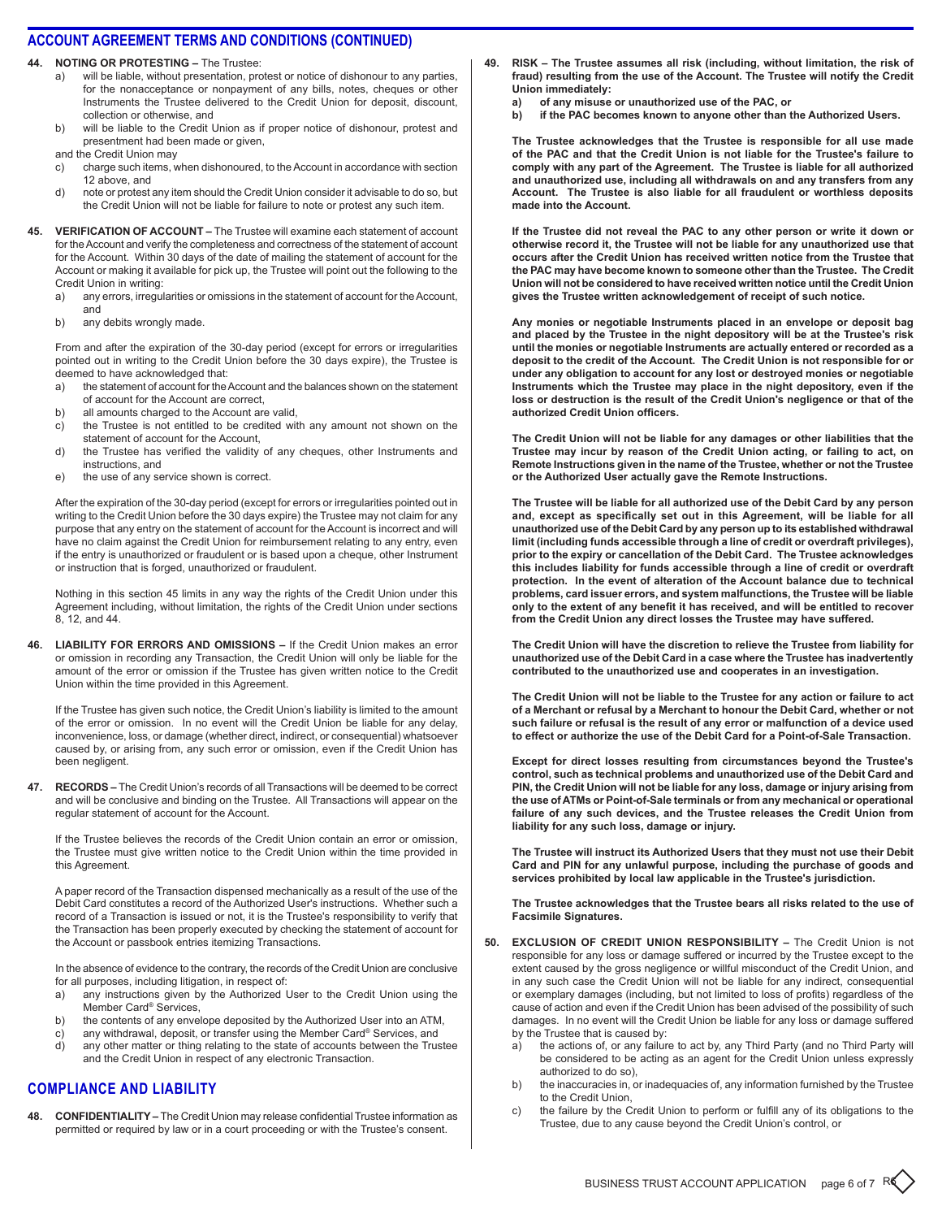**44. Noting or Protesting –** The Trustee:

- a) will be liable, without presentation, protest or notice of dishonour to any parties, for the nonacceptance or nonpayment of any bills, notes, cheques or other Instruments the Trustee delivered to the Credit Union for deposit, discount, collection or otherwise, and
- b) will be liable to the Credit Union as if proper notice of dishonour, protest and presentment had been made or given,

and the Credit Union may

- c) charge such items, when dishonoured, to the Account in accordance with section 12 above, and
- d) note or protest any item should the Credit Union consider it advisable to do so, but the Credit Union will not be liable for failure to note or protest any such item.
- **45. Verification of Account** The Trustee will examine each statement of account for the Account and verify the completeness and correctness of the statement of account for the Account. Within 30 days of the date of mailing the statement of account for the Account or making it available for pick up, the Trustee will point out the following to the Credit Union in writing:
	- a) any errors, irregularities or omissions in the statement of account for the Account, and
	- b) any debits wrongly made.

From and after the expiration of the 30-day period (except for errors or irregularities pointed out in writing to the Credit Union before the 30 days expire), the Trustee is deemed to have acknowledged that:

- a) the statement of account for the Account and the balances shown on the statement of account for the Account are correct,
- b) all amounts charged to the Account are valid,
- c) the Trustee is not entitled to be credited with any amount not shown on the statement of account for the Account,
- d) the Trustee has verified the validity of any cheques, other Instruments and instructions, and
- e) the use of any service shown is correct.

After the expiration of the 30-day period (except for errors or irregularities pointed out in writing to the Credit Union before the 30 days expire) the Trustee may not claim for any purpose that any entry on the statement of account for the Account is incorrect and will have no claim against the Credit Union for reimbursement relating to any entry, even if the entry is unauthorized or fraudulent or is based upon a cheque, other Instrument or instruction that is forged, unauthorized or fraudulent.

Nothing in this section 45 limits in any way the rights of the Credit Union under this Agreement including, without limitation, the rights of the Credit Union under sections 8, 12, and 44.

**46. Liability for Errors and Omissions –** If the Credit Union makes an error or omission in recording any Transaction, the Credit Union will only be liable for the amount of the error or omission if the Trustee has given written notice to the Credit Union within the time provided in this Agreement.

If the Trustee has given such notice, the Credit Union's liability is limited to the amount of the error or omission. In no event will the Credit Union be liable for any delay, inconvenience, loss, or damage (whether direct, indirect, or consequential) whatsoever caused by, or arising from, any such error or omission, even if the Credit Union has been negligent.

**47. RECORDS** - The Credit Union's records of all Transactions will be deemed to be correct and will be conclusive and binding on the Trustee. All Transactions will appear on the regular statement of account for the Account.

If the Trustee believes the records of the Credit Union contain an error or omission, the Trustee must give written notice to the Credit Union within the time provided in this Agreement.

A paper record of the Transaction dispensed mechanically as a result of the use of the Debit Card constitutes a record of the Authorized User's instructions. Whether such a record of a Transaction is issued or not, it is the Trustee's responsibility to verify that the Transaction has been properly executed by checking the statement of account for the Account or passbook entries itemizing Transactions.

In the absence of evidence to the contrary, the records of the Credit Union are conclusive for all purposes, including litigation, in respect of:

- a) any instructions given by the Authorized User to the Credit Union using the Member Card® Services,
- b) the contents of any envelope deposited by the Authorized User into an ATM,
- c) any withdrawal, deposit, or transfer using the Member Card® Services, and
- d) any other matter or thing relating to the state of accounts between the Trustee and the Credit Union in respect of any electronic Transaction.

#### **compliance anD liability**

**48. Confidentiality –** The Credit Union may release confidential Trustee information as permitted or required by law or in a court proceeding or with the Trustee's consent.

- **49. Risk The Trustee assumes all risk (including, without limitation, the risk of fraud) resulting from the use of the Account. The Trustee will notify the Credit Union immediately:**
	- **a) of any misuse or unauthorized use of the PAC, or**
	- **b) if the PAC becomes known to anyone other than the Authorized Users.**

**The Trustee acknowledges that the Trustee is responsible for all use made of the PAC and that the Credit Union is not liable for the Trustee's failure to comply with any part of the Agreement. The Trustee is liable for all authorized and unauthorized use, including all withdrawals on and any transfers from any Account. The Trustee is also liable for all fraudulent or worthless deposits made into the Account.**

**If the Trustee did not reveal the PAC to any other person or write it down or otherwise record it, the Trustee will not be liable for any unauthorized use that occurs after the Credit Union has received written notice from the Trustee that the PAC may have become known to someone other than the Trustee. The Credit Union will not be considered to have received written notice until the Credit Union gives the Trustee written acknowledgement of receipt of such notice.**

**Any monies or negotiable Instruments placed in an envelope or deposit bag and placed by the Trustee in the night depository will be at the Trustee's risk until the monies or negotiable Instruments are actually entered or recorded as a deposit to the credit of the Account. The Credit Union is not responsible for or under any obligation to account for any lost or destroyed monies or negotiable Instruments which the Trustee may place in the night depository, even if the loss or destruction is the result of the Credit Union's negligence or that of the authorized Credit Union officers.**

**The Credit Union will not be liable for any damages or other liabilities that the Trustee may incur by reason of the Credit Union acting, or failing to act, on Remote Instructions given in the name of the Trustee, whether or not the Trustee or the Authorized User actually gave the Remote Instructions.**

**The Trustee will be liable for all authorized use of the Debit Card by any person and, except as specifically set out in this Agreement, will be liable for all unauthorized use of the Debit Card by any person up to its established withdrawal limit (including funds accessible through a line of credit or overdraft privileges), prior to the expiry or cancellation of the Debit Card. The Trustee acknowledges this includes liability for funds accessible through a line of credit or overdraft protection. In the event of alteration of the Account balance due to technical problems, card issuer errors, and system malfunctions, the Trustee will be liable only to the extent of any benefit it has received, and will be entitled to recover from the Credit Union any direct losses the Trustee may have suffered.**

**The Credit Union will have the discretion to relieve the Trustee from liability for unauthorized use of the Debit Card in a case where the Trustee has inadvertently contributed to the unauthorized use and cooperates in an investigation.**

**The Credit Union will not be liable to the Trustee for any action or failure to act of a Merchant or refusal by a Merchant to honour the Debit Card, whether or not such failure or refusal is the result of any error or malfunction of a device used to effect or authorize the use of the Debit Card for a Point-of-Sale Transaction.**

**Except for direct losses resulting from circumstances beyond the Trustee's control, such as technical problems and unauthorized use of the Debit Card and PIN, the Credit Union will not be liable for any loss, damage or injury arising from the use of ATMs or Point-of-Sale terminals or from any mechanical or operational failure of any such devices, and the Trustee releases the Credit Union from liability for any such loss, damage or injury.**

**The Trustee will instruct its Authorized Users that they must not use their Debit Card and PIN for any unlawful purpose, including the purchase of goods and services prohibited by local law applicable in the Trustee's jurisdiction.**

**The Trustee acknowledges that the Trustee bears all risks related to the use of Facsimile Signatures.**

- **50. Exclusion of Credit Union Responsibility** The Credit Union is not responsible for any loss or damage suffered or incurred by the Trustee except to the extent caused by the gross negligence or willful misconduct of the Credit Union, and in any such case the Credit Union will not be liable for any indirect, consequential or exemplary damages (including, but not limited to loss of profits) regardless of the cause of action and even if the Credit Union has been advised of the possibility of such damages. In no event will the Credit Union be liable for any loss or damage suffered by the Trustee that is caused by:
	- a) the actions of, or any failure to act by, any Third Party (and no Third Party will be considered to be acting as an agent for the Credit Union unless expressly authorized to do so),
	- b) the inaccuracies in, or inadequacies of, any information furnished by the Trustee to the Credit Union,
	- c) the failure by the Credit Union to perform or fulfill any of its obligations to the Trustee, due to any cause beyond the Credit Union's control, or